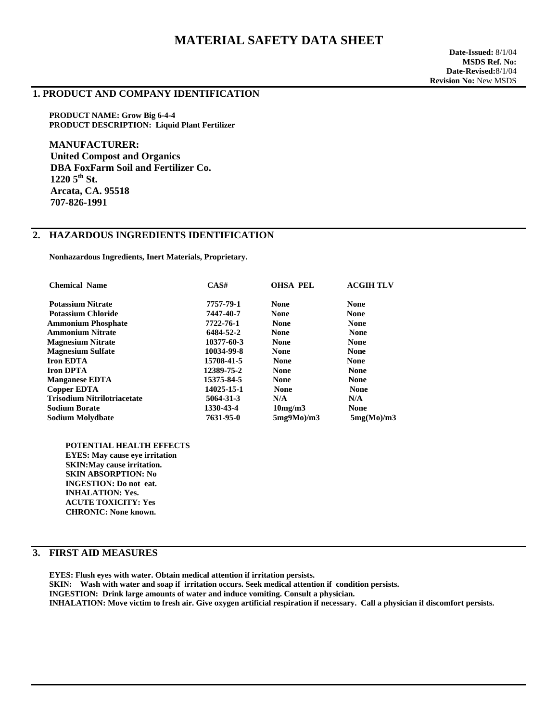# **MATERIAL SAFETY DATA SHEET**

#### **1. PRODUCT AND COMPANY IDENTIFICATION**

**PRODUCT NAME: Grow Big 6-4-4 PRODUCT DESCRIPTION: Liquid Plant Fertilizer** 

**MANUFACTURER: United Compost and Organics DBA FoxFarm Soil and Fertilizer Co. 1220 5th St. Arcata, CA. 95518 707-826-1991** 

## **2. HAZARDOUS INGREDIENTS IDENTIFICATION**

 **Nonhazardous Ingredients, Inert Materials, Proprietary.** 

| <b>Chemical Name</b>               | CAS#       | <b>OHSA PEL</b> | <b>ACGIH TLV</b> |
|------------------------------------|------------|-----------------|------------------|
| <b>Potassium Nitrate</b>           | 7757-79-1  | <b>None</b>     | <b>None</b>      |
| <b>Potassium Chloride</b>          | 7447-40-7  | <b>None</b>     | <b>None</b>      |
| <b>Ammonium Phosphate</b>          | 7722-76-1  | <b>None</b>     | <b>None</b>      |
| <b>Ammonium Nitrate</b>            | 6484-52-2  | <b>None</b>     | <b>None</b>      |
| <b>Magnesium Nitrate</b>           | 10377-60-3 | <b>None</b>     | <b>None</b>      |
| <b>Magnesium Sulfate</b>           | 10034-99-8 | <b>None</b>     | <b>None</b>      |
| <b>Iron EDTA</b>                   | 15708-41-5 | <b>None</b>     | <b>None</b>      |
| <b>Iron DPTA</b>                   | 12389-75-2 | <b>None</b>     | <b>None</b>      |
| <b>Manganese EDTA</b>              | 15375-84-5 | <b>None</b>     | <b>None</b>      |
| Copper EDTA                        | 14025-15-1 | <b>None</b>     | <b>None</b>      |
| <b>Trisodium Nitrilotriacetate</b> | 5064-31-3  | N/A             | N/A              |
| <b>Sodium Borate</b>               | 1330-43-4  | 10mg/m3         | <b>None</b>      |
| <b>Sodium Molydbate</b>            | 7631-95-0  | $5mg9Mo$ /m $3$ | 5mg(Mo)/m3       |

 **POTENTIAL HEALTH EFFECTS EYES: May cause eye irritation SKIN:May cause irritation. SKIN ABSORPTION: No INGESTION: Do not eat. INHALATION: Yes. ACUTE TOXICITY: Yes CHRONIC: None known.** 

### **3. FIRST AID MEASURES**

**EYES: Flush eyes with water. Obtain medical attention if irritation persists. SKIN: Wash with water and soap if irritation occurs. Seek medical attention if condition persists. INGESTION: Drink large amounts of water and induce vomiting. Consult a physician. INHALATION: Move victim to fresh air. Give oxygen artificial respiration if necessary. Call a physician if discomfort persists.**